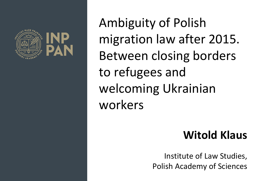

Ambiguity of Polish migration law after 2015. Between closing borders to refugees and welcoming Ukrainian workers

### **Witold Klaus**

Institute of Law Studies, Polish Academy of Sciences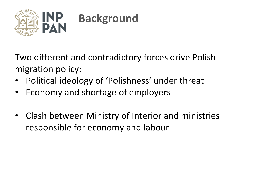

Two different and contradictory forces drive Polish migration policy:

- Political ideology of 'Polishness' under threat
- Economy and shortage of employers
- Clash between Ministry of Interior and ministries responsible for economy and labour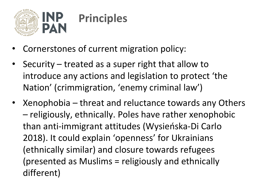

- Cornerstones of current migration policy:
- Security treated as a super right that allow to introduce any actions and legislation to protect 'the Nation' (crimmigration, 'enemy criminal law')
- Xenophobia threat and reluctance towards any Others – religiously, ethnically. Poles have rather xenophobic than anti-immigrant attitudes (Wysieńska-Di Carlo 2018). It could explain 'openness' for Ukrainians (ethnically similar) and closure towards refugees (presented as Muslims = religiously and ethnically different)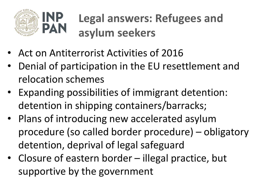

### **Legal answers: Refugees and asylum seekers**

- Act on Antiterrorist Activities of 2016
- Denial of participation in the EU resettlement and relocation schemes
- Expanding possibilities of immigrant detention: detention in shipping containers/barracks;
- Plans of introducing new accelerated asylum procedure (so called border procedure) – obligatory detention, deprival of legal safeguard
- Closure of eastern border illegal practice, but supportive by the government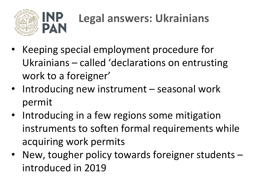

# **Legal answers: Ukrainians**

- Keeping special employment procedure for Ukrainians – called 'declarations on entrusting work to a foreigner'
- Introducing new instrument seasonal work permit
- Introducing in a few regions some mitigation instruments to soften formal requirements while acquiring work permits
- New, tougher policy towards foreigner students introduced in 2019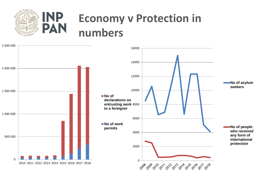

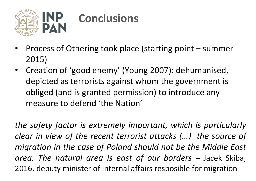

- Process of Othering took place (starting point summer 2015)
- Creation of 'good enemy' (Young 2007): dehumanised, depicted as terrorists against whom the government is obliged (and is granted permission) to introduce any measure to defend 'the Nation'

*the safety factor is extremely important, which is particularly clear in view of the recent terrorist attacks (…) the source of migration in the case of Poland should not be the Middle East area. The natural area is east of our borders –* Jacek Skiba, 2016, deputy minister of internal affairs resposible for migration